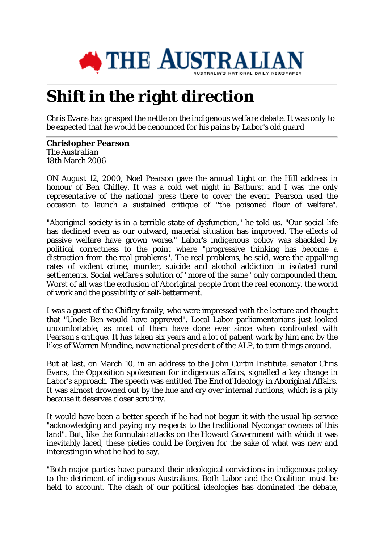

## **Shift in the right direction**

*Chris Evans has grasped the nettle on the indigenous welfare debate. It was only to be expected that he would be denounced for his pains by Labor's old guard*

## **Christopher Pearson** *The Australian* 18th March 2006

ON August 12, 2000, Noel Pearson gave the annual Light on the Hill address in honour of Ben Chifley. It was a cold wet night in Bathurst and I was the only representative of the national press there to cover the event. Pearson used the occasion to launch a sustained critique of "the poisoned flour of welfare".

"Aboriginal society is in a terrible state of dysfunction," he told us. "Our social life has declined even as our outward, material situation has improved. The effects of passive welfare have grown worse." Labor's indigenous policy was shackled by political correctness to the point where "progressive thinking has become a distraction from the real problems". The real problems, he said, were the appalling rates of violent crime, murder, suicide and alcohol addiction in isolated rural settlements. Social welfare's solution of "more of the same" only compounded them. Worst of all was the exclusion of Aboriginal people from the real economy, the world of work and the possibility of self-betterment.

I was a guest of the Chifley family, who were impressed with the lecture and thought that "Uncle Ben would have approved". Local Labor parliamentarians just looked uncomfortable, as most of them have done ever since when confronted with Pearson's critique. It has taken six years and a lot of patient work by him and by the likes of Warren Mundine, now national president of the ALP, to turn things around.

But at last, on March 10, in an address to the John Curtin Institute, senator Chris Evans, the Opposition spokesman for indigenous affairs, signalled a key change in Labor's approach. The speech was entitled The End of Ideology in Aboriginal Affairs. It was almost drowned out by the hue and cry over internal ructions, which is a pity because it deserves closer scrutiny.

It would have been a better speech if he had not begun it with the usual lip-service "acknowledging and paying my respects to the traditional Nyoongar owners of this land". But, like the formulaic attacks on the Howard Government with which it was inevitably laced, these pieties could be forgiven for the sake of what was new and interesting in what he had to say.

"Both major parties have pursued their ideological convictions in indigenous policy to the detriment of indigenous Australians. Both Labor and the Coalition must be held to account. The clash of our political ideologies has dominated the debate,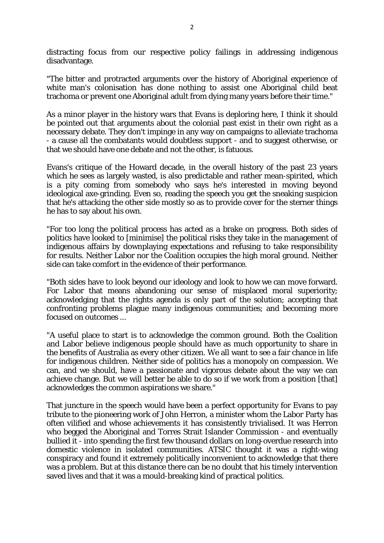distracting focus from our respective policy failings in addressing indigenous disadvantage.

"The bitter and protracted arguments over the history of Aboriginal experience of white man's colonisation has done nothing to assist one Aboriginal child beat trachoma or prevent one Aboriginal adult from dying many years before their time."

As a minor player in the history wars that Evans is deploring here, I think it should be pointed out that arguments about the colonial past exist in their own right as a necessary debate. They don't impinge in any way on campaigns to alleviate trachoma - a cause all the combatants would doubtless support - and to suggest otherwise, or that we should have one debate and not the other, is fatuous.

Evans's critique of the Howard decade, in the overall history of the past 23 years which he sees as largely wasted, is also predictable and rather mean-spirited, which is a pity coming from somebody who says he's interested in moving beyond ideological axe-grinding. Even so, reading the speech you get the sneaking suspicion that he's attacking the other side mostly so as to provide cover for the sterner things he has to say about his own.

"For too long the political process has acted as a brake on progress. Both sides of politics have looked to [minimise] the political risks they take in the management of indigenous affairs by downplaying expectations and refusing to take responsibility for results. Neither Labor nor the Coalition occupies the high moral ground. Neither side can take comfort in the evidence of their performance.

"Both sides have to look beyond our ideology and look to how we can move forward. For Labor that means abandoning our sense of misplaced moral superiority; acknowledging that the rights agenda is only part of the solution; accepting that confronting problems plague many indigenous communities; and becoming more focused on outcomes ...

"A useful place to start is to acknowledge the common ground. Both the Coalition and Labor believe indigenous people should have as much opportunity to share in the benefits of Australia as every other citizen. We all want to see a fair chance in life for indigenous children. Neither side of politics has a monopoly on compassion. We can, and we should, have a passionate and vigorous debate about the way we can achieve change. But we will better be able to do so if we work from a position [that] acknowledges the common aspirations we share."

That juncture in the speech would have been a perfect opportunity for Evans to pay tribute to the pioneering work of John Herron, a minister whom the Labor Party has often vilified and whose achievements it has consistently trivialised. It was Herron who begged the Aboriginal and Torres Strait Islander Commission - and eventually bullied it - into spending the first few thousand dollars on long-overdue research into domestic violence in isolated communities. ATSIC thought it was a right-wing conspiracy and found it extremely politically inconvenient to acknowledge that there was a problem. But at this distance there can be no doubt that his timely intervention saved lives and that it was a mould-breaking kind of practical politics.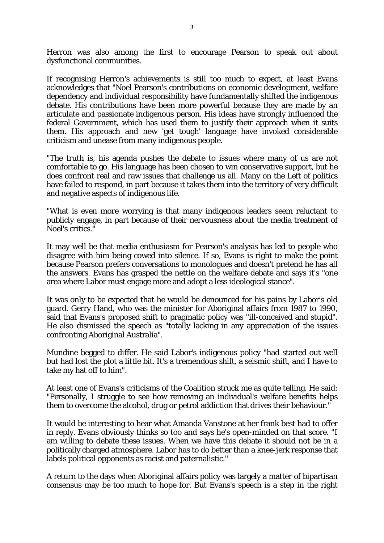Herron was also among the first to encourage Pearson to speak out about dysfunctional communities.

If recognising Herron's achievements is still too much to expect, at least Evans acknowledges that "Noel Pearson's contributions on economic development, welfare dependency and individual responsibility have fundamentally shifted the indigenous debate. His contributions have been more powerful because they are made by an articulate and passionate indigenous person. His ideas have strongly influenced the federal Government, which has used them to justify their approach when it suits them. His approach and new 'get tough' language have invoked considerable criticism and unease from many indigenous people.

"The truth is, his agenda pushes the debate to issues where many of us are not comfortable to go. His language has been chosen to win conservative support, but he does confront real and raw issues that challenge us all. Many on the Left of politics have failed to respond, in part because it takes them into the territory of very difficult and negative aspects of indigenous life.

"What is even more worrying is that many indigenous leaders seem reluctant to publicly engage, in part because of their nervousness about the media treatment of Noel's critics."

It may well be that media enthusiasm for Pearson's analysis has led to people who disagree with him being cowed into silence. If so, Evans is right to make the point because Pearson prefers conversations to monologues and doesn't pretend he has all the answers. Evans has grasped the nettle on the welfare debate and says it's "one area where Labor must engage more and adopt a less ideological stance".

It was only to be expected that he would be denounced for his pains by Labor's old guard. Gerry Hand, who was the minister for Aboriginal affairs from 1987 to 1990, said that Evans's proposed shift to pragmatic policy was "ill-conceived and stupid". He also dismissed the speech as "totally lacking in any appreciation of the issues confronting Aboriginal Australia".

Mundine begged to differ. He said Labor's indigenous policy "had started out well but had lost the plot a little bit. It's a tremendous shift, a seismic shift, and I have to take my hat off to him".

At least one of Evans's criticisms of the Coalition struck me as quite telling. He said: "Personally, I struggle to see how removing an individual's welfare benefits helps them to overcome the alcohol, drug or petrol addiction that drives their behaviour."

It would be interesting to hear what Amanda Vanstone at her frank best had to offer in reply. Evans obviously thinks so too and says he's open-minded on that score. "I am willing to debate these issues. When we have this debate it should not be in a politically charged atmosphere. Labor has to do better than a knee-jerk response that labels political opponents as racist and paternalistic."

A return to the days when Aboriginal affairs policy was largely a matter of bipartisan consensus may be too much to hope for. But Evans's speech is a step in the right